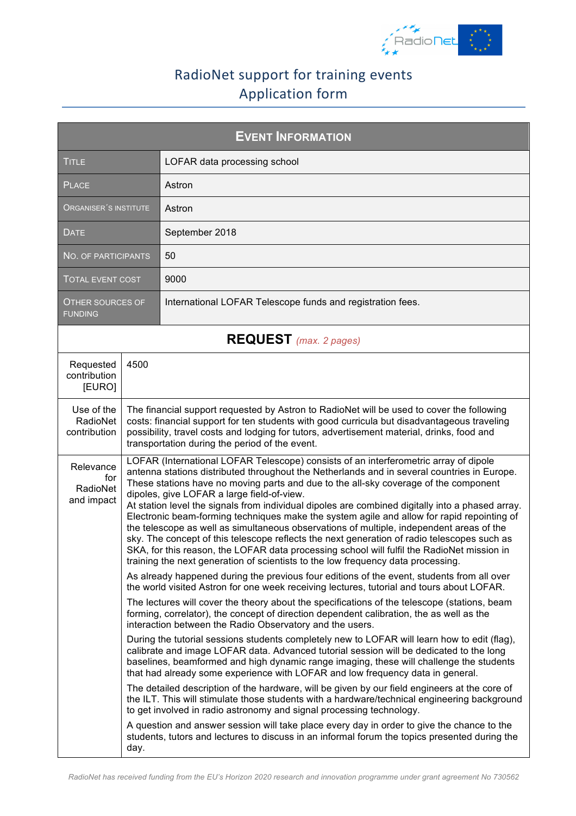

## RadioNet support for training events Application form

| <b>EVENT INFORMATION</b>                   |      |                                                                                                                                                                                                                                                                                                                                                                                                                                                                                                                                                                                                                                                                                                                                                                                                                                                                                                          |  |
|--------------------------------------------|------|----------------------------------------------------------------------------------------------------------------------------------------------------------------------------------------------------------------------------------------------------------------------------------------------------------------------------------------------------------------------------------------------------------------------------------------------------------------------------------------------------------------------------------------------------------------------------------------------------------------------------------------------------------------------------------------------------------------------------------------------------------------------------------------------------------------------------------------------------------------------------------------------------------|--|
| <b>TITLE</b>                               |      | LOFAR data processing school                                                                                                                                                                                                                                                                                                                                                                                                                                                                                                                                                                                                                                                                                                                                                                                                                                                                             |  |
| <b>PLACE</b>                               |      | Astron                                                                                                                                                                                                                                                                                                                                                                                                                                                                                                                                                                                                                                                                                                                                                                                                                                                                                                   |  |
| ORGANISER´S INSTITUTE                      |      | Astron                                                                                                                                                                                                                                                                                                                                                                                                                                                                                                                                                                                                                                                                                                                                                                                                                                                                                                   |  |
| <b>DATE</b>                                |      | September 2018                                                                                                                                                                                                                                                                                                                                                                                                                                                                                                                                                                                                                                                                                                                                                                                                                                                                                           |  |
| NO. OF PARTICIPANTS                        |      | 50                                                                                                                                                                                                                                                                                                                                                                                                                                                                                                                                                                                                                                                                                                                                                                                                                                                                                                       |  |
| <b>TOTAL EVENT COST</b>                    |      | 9000                                                                                                                                                                                                                                                                                                                                                                                                                                                                                                                                                                                                                                                                                                                                                                                                                                                                                                     |  |
| OTHER SOURCES OF<br><b>FUNDING</b>         |      | International LOFAR Telescope funds and registration fees.                                                                                                                                                                                                                                                                                                                                                                                                                                                                                                                                                                                                                                                                                                                                                                                                                                               |  |
| <b>REQUEST</b> (max. 2 pages)              |      |                                                                                                                                                                                                                                                                                                                                                                                                                                                                                                                                                                                                                                                                                                                                                                                                                                                                                                          |  |
| Requested<br>contribution<br>[EURO]        | 4500 |                                                                                                                                                                                                                                                                                                                                                                                                                                                                                                                                                                                                                                                                                                                                                                                                                                                                                                          |  |
| Use of the<br>RadioNet<br>contribution     |      | The financial support requested by Astron to RadioNet will be used to cover the following<br>costs: financial support for ten students with good curricula but disadvantageous traveling<br>possibility, travel costs and lodging for tutors, advertisement material, drinks, food and<br>transportation during the period of the event.                                                                                                                                                                                                                                                                                                                                                                                                                                                                                                                                                                 |  |
| Relevance<br>for<br>RadioNet<br>and impact |      | LOFAR (International LOFAR Telescope) consists of an interferometric array of dipole<br>antenna stations distributed throughout the Netherlands and in several countries in Europe.<br>These stations have no moving parts and due to the all-sky coverage of the component<br>dipoles, give LOFAR a large field-of-view.<br>At station level the signals from individual dipoles are combined digitally into a phased array.<br>Electronic beam-forming techniques make the system agile and allow for rapid repointing of<br>the telescope as well as simultaneous observations of multiple, independent areas of the<br>sky. The concept of this telescope reflects the next generation of radio telescopes such as<br>SKA, for this reason, the LOFAR data processing school will fulfil the RadioNet mission in<br>training the next generation of scientists to the low frequency data processing. |  |
|                                            |      | As already happened during the previous four editions of the event, students from all over<br>the world visited Astron for one week receiving lectures, tutorial and tours about LOFAR.                                                                                                                                                                                                                                                                                                                                                                                                                                                                                                                                                                                                                                                                                                                  |  |
|                                            |      | The lectures will cover the theory about the specifications of the telescope (stations, beam<br>forming, correlator), the concept of direction dependent calibration, the as well as the<br>interaction between the Radio Observatory and the users.                                                                                                                                                                                                                                                                                                                                                                                                                                                                                                                                                                                                                                                     |  |
|                                            |      | During the tutorial sessions students completely new to LOFAR will learn how to edit (flag),<br>calibrate and image LOFAR data. Advanced tutorial session will be dedicated to the long<br>baselines, beamformed and high dynamic range imaging, these will challenge the students<br>that had already some experience with LOFAR and low frequency data in general.                                                                                                                                                                                                                                                                                                                                                                                                                                                                                                                                     |  |
|                                            |      | The detailed description of the hardware, will be given by our field engineers at the core of<br>the ILT. This will stimulate those students with a hardware/technical engineering background<br>to get involved in radio astronomy and signal processing technology.                                                                                                                                                                                                                                                                                                                                                                                                                                                                                                                                                                                                                                    |  |
|                                            | day. | A question and answer session will take place every day in order to give the chance to the<br>students, tutors and lectures to discuss in an informal forum the topics presented during the                                                                                                                                                                                                                                                                                                                                                                                                                                                                                                                                                                                                                                                                                                              |  |